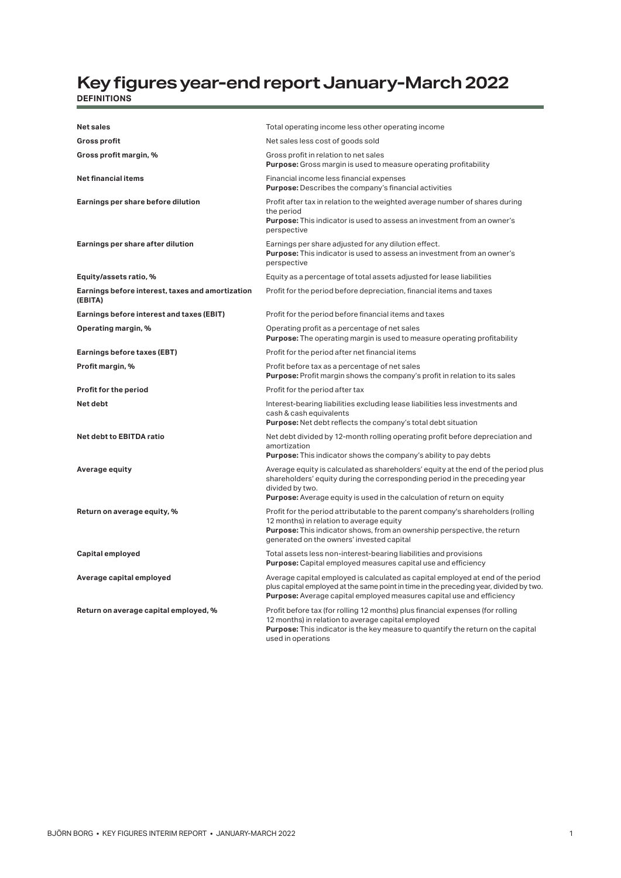## **Key figures year-end report January-March 2022 DEFINITIONS**

| <b>Net sales</b>                                            | Total operating income less other operating income                                                                                                                                                                                                                   |  |  |
|-------------------------------------------------------------|----------------------------------------------------------------------------------------------------------------------------------------------------------------------------------------------------------------------------------------------------------------------|--|--|
| <b>Gross profit</b>                                         | Net sales less cost of goods sold                                                                                                                                                                                                                                    |  |  |
| Gross profit margin, %                                      | Gross profit in relation to net sales<br><b>Purpose:</b> Gross margin is used to measure operating profitability                                                                                                                                                     |  |  |
| <b>Net financial items</b>                                  | Financial income less financial expenses<br><b>Purpose:</b> Describes the company's financial activities                                                                                                                                                             |  |  |
| Earnings per share before dilution                          | Profit after tax in relation to the weighted average number of shares during<br>the period<br><b>Purpose:</b> This indicator is used to assess an investment from an owner's<br>perspective                                                                          |  |  |
| Earnings per share after dilution                           | Earnings per share adjusted for any dilution effect.<br><b>Purpose:</b> This indicator is used to assess an investment from an owner's<br>perspective                                                                                                                |  |  |
| Equity/assets ratio, %                                      | Equity as a percentage of total assets adjusted for lease liabilities                                                                                                                                                                                                |  |  |
| Earnings before interest, taxes and amortization<br>(EBITA) | Profit for the period before depreciation, financial items and taxes                                                                                                                                                                                                 |  |  |
| Earnings before interest and taxes (EBIT)                   | Profit for the period before financial items and taxes                                                                                                                                                                                                               |  |  |
| Operating margin, %                                         | Operating profit as a percentage of net sales<br><b>Purpose:</b> The operating margin is used to measure operating profitability                                                                                                                                     |  |  |
| Earnings before taxes (EBT)                                 | Profit for the period after net financial items                                                                                                                                                                                                                      |  |  |
| Profit margin, %                                            | Profit before tax as a percentage of net sales<br><b>Purpose:</b> Profit margin shows the company's profit in relation to its sales                                                                                                                                  |  |  |
| Profit for the period                                       | Profit for the period after tax                                                                                                                                                                                                                                      |  |  |
| Net debt                                                    | Interest-bearing liabilities excluding lease liabilities less investments and<br>cash & cash equivalents<br><b>Purpose:</b> Net debt reflects the company's total debt situation                                                                                     |  |  |
| Net debt to EBITDA ratio                                    | Net debt divided by 12-month rolling operating profit before depreciation and<br>amortization<br><b>Purpose:</b> This indicator shows the company's ability to pay debts                                                                                             |  |  |
| Average equity                                              | Average equity is calculated as shareholders' equity at the end of the period plus<br>shareholders' equity during the corresponding period in the preceding year<br>divided by two.<br><b>Purpose:</b> Average equity is used in the calculation of return on equity |  |  |
| Return on average equity, %                                 | Profit for the period attributable to the parent company's shareholders (rolling<br>12 months) in relation to average equity<br>Purpose: This indicator shows, from an ownership perspective, the return<br>generated on the owners' invested capital                |  |  |
| Capital employed                                            | Total assets less non-interest-bearing liabilities and provisions<br><b>Purpose:</b> Capital employed measures capital use and efficiency                                                                                                                            |  |  |
| Average capital employed                                    | Average capital employed is calculated as capital employed at end of the period<br>plus capital employed at the same point in time in the preceding year, divided by two.<br>Purpose: Average capital employed measures capital use and efficiency                   |  |  |
| Return on average capital employed, %                       | Profit before tax (for rolling 12 months) plus financial expenses (for rolling<br>12 months) in relation to average capital employed<br><b>Purpose:</b> This indicator is the key measure to quantify the return on the capital<br>used in operations                |  |  |